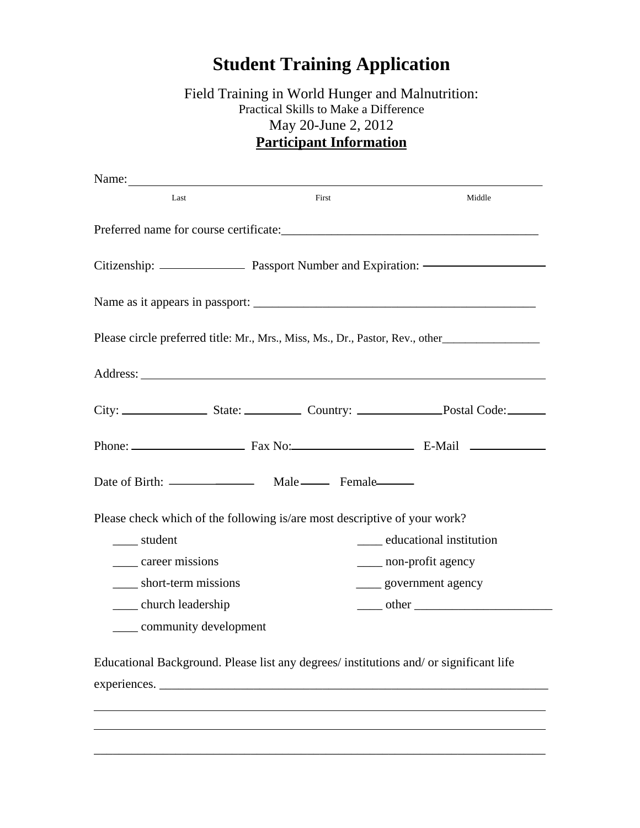## **Student Training Application**

## Field Training in World Hunger and Malnutrition: Practical Skills to Make a Difference May 20-June 2, 2012 **Participant Information**

| Last                                                                                   | First | Middle                        |
|----------------------------------------------------------------------------------------|-------|-------------------------------|
|                                                                                        |       |                               |
|                                                                                        |       |                               |
|                                                                                        |       |                               |
| Please circle preferred title: Mr., Mrs., Miss, Ms., Dr., Pastor, Rev., other          |       |                               |
|                                                                                        |       |                               |
|                                                                                        |       |                               |
|                                                                                        |       |                               |
|                                                                                        |       |                               |
| Please check which of the following is/are most descriptive of your work?              |       |                               |
| _____ student                                                                          |       | _____ educational institution |
| career missions                                                                        |       | ____ non-profit agency        |
| short-term missions                                                                    |       | _____ government agency       |
| ______ church leadership                                                               |       |                               |
| _____ community development                                                            |       |                               |
| Educational Background. Please list any degrees/ institutions and/ or significant life |       |                               |
|                                                                                        |       |                               |

\_\_\_\_\_\_\_\_\_\_\_\_\_\_\_\_\_\_\_\_\_\_\_\_\_\_\_\_\_\_\_\_\_\_\_\_\_\_\_\_\_\_\_\_\_\_\_\_\_\_\_\_\_\_\_\_\_\_\_\_\_\_\_\_\_\_\_\_\_\_\_\_

 $\overline{\phantom{a}}$ 

 $\overline{a}$